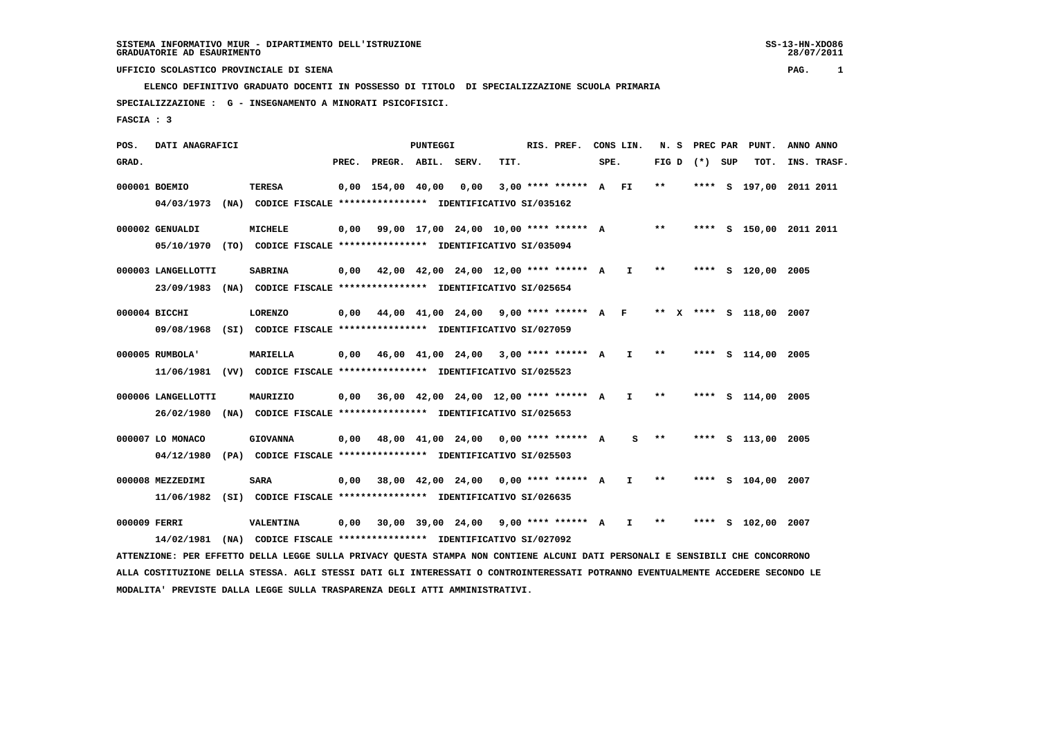**ELENCO DEFINITIVO GRADUATO DOCENTI IN POSSESSO DI TITOLO DI SPECIALIZZAZIONE SCUOLA PRIMARIA SPECIALIZZAZIONE : G - INSEGNAMENTO A MINORATI PSICOFISICI.**

 **FASCIA : 3**

 **POS. DATI ANAGRAFICI PUNTEGGI RIS. PREF. CONS LIN. N. S PREC PAR PUNT. ANNO ANNO GRAD. PREC. PREGR. ABIL. SERV. TIT. SPE. FIG D (\*) SUP TOT. INS. TRASF. 000001 BOEMIO TERESA 0,00 154,00 40,00 0,00 3,00 \*\*\*\* \*\*\*\*\*\* A FI \*\* \*\*\*\* S 197,00 2011 2011 04/03/1973 (NA) CODICE FISCALE \*\*\*\*\*\*\*\*\*\*\*\*\*\*\*\* IDENTIFICATIVO SI/035162**

 **000002 GENUALDI MICHELE 0,00 99,00 17,00 24,00 10,00 \*\*\*\* \*\*\*\*\*\* A \*\* \*\*\*\* S 150,00 2011 2011 05/10/1970 (TO) CODICE FISCALE \*\*\*\*\*\*\*\*\*\*\*\*\*\*\*\* IDENTIFICATIVO SI/035094**

 **000003 LANGELLOTTI SABRINA 0,00 42,00 42,00 24,00 12,00 \*\*\*\* \*\*\*\*\*\* A I \*\* \*\*\*\* S 120,00 2005 23/09/1983 (NA) CODICE FISCALE \*\*\*\*\*\*\*\*\*\*\*\*\*\*\*\* IDENTIFICATIVO SI/025654**

 **000004 BICCHI LORENZO 0,00 44,00 41,00 24,00 9,00 \*\*\*\* \*\*\*\*\*\* A F \*\* X \*\*\*\* S 118,00 2007 09/08/1968 (SI) CODICE FISCALE \*\*\*\*\*\*\*\*\*\*\*\*\*\*\*\* IDENTIFICATIVO SI/027059**

 **000005 RUMBOLA' MARIELLA 0,00 46,00 41,00 24,00 3,00 \*\*\*\* \*\*\*\*\*\* A I \*\* \*\*\*\* S 114,00 2005 11/06/1981 (VV) CODICE FISCALE \*\*\*\*\*\*\*\*\*\*\*\*\*\*\*\* IDENTIFICATIVO SI/025523**

 **000006 LANGELLOTTI MAURIZIO 0,00 36,00 42,00 24,00 12,00 \*\*\*\* \*\*\*\*\*\* A I \*\* \*\*\*\* S 114,00 2005 26/02/1980 (NA) CODICE FISCALE \*\*\*\*\*\*\*\*\*\*\*\*\*\*\*\* IDENTIFICATIVO SI/025653**

 **000007 LO MONACO GIOVANNA 0,00 48,00 41,00 24,00 0,00 \*\*\*\* \*\*\*\*\*\* A S \*\* \*\*\*\* S 113,00 2005 04/12/1980 (PA) CODICE FISCALE \*\*\*\*\*\*\*\*\*\*\*\*\*\*\*\* IDENTIFICATIVO SI/025503**

 **000008 MEZZEDIMI SARA 0,00 38,00 42,00 24,00 0,00 \*\*\*\* \*\*\*\*\*\* A I \*\* \*\*\*\* S 104,00 2007 11/06/1982 (SI) CODICE FISCALE \*\*\*\*\*\*\*\*\*\*\*\*\*\*\*\* IDENTIFICATIVO SI/026635**

 **000009 FERRI VALENTINA 0,00 30,00 39,00 24,00 9,00 \*\*\*\* \*\*\*\*\*\* A I \*\* \*\*\*\* S 102,00 2007 14/02/1981 (NA) CODICE FISCALE \*\*\*\*\*\*\*\*\*\*\*\*\*\*\*\* IDENTIFICATIVO SI/027092**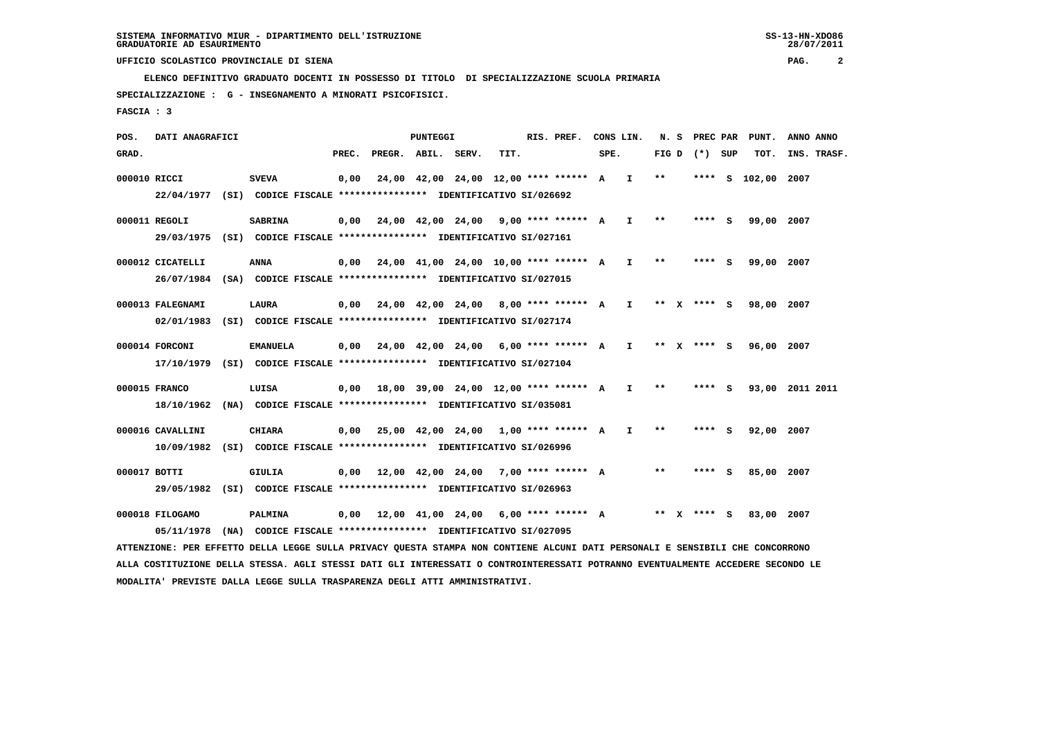**ELENCO DEFINITIVO GRADUATO DOCENTI IN POSSESSO DI TITOLO DI SPECIALIZZAZIONE SCUOLA PRIMARIA**

 **SPECIALIZZAZIONE : G - INSEGNAMENTO A MINORATI PSICOFISICI.**

 **FASCIA : 3**

 **POS. DATI ANAGRAFICI PUNTEGGI RIS. PREF. CONS LIN. N. S PREC PAR PUNT. ANNO ANNO**GRAD. **PREGRADE SERVEGE SERVE SERVE SPEREGE SPEREGALES SPEREGALES SPEREGALES SPEREGALES SPEREGALES SUP TOT. INS. TRASF. 000010 RICCI SVEVA 0,00 24,00 42,00 24,00 12,00 \*\*\*\* \*\*\*\*\*\* A I \*\* \*\*\*\* S 102,00 2007 22/04/1977 (SI) CODICE FISCALE \*\*\*\*\*\*\*\*\*\*\*\*\*\*\*\* IDENTIFICATIVO SI/026692 000011 REGOLI SABRINA 0,00 24,00 42,00 24,00 9,00 \*\*\*\* \*\*\*\*\*\* A I \*\* \*\*\*\* S 99,00 2007 29/03/1975 (SI) CODICE FISCALE \*\*\*\*\*\*\*\*\*\*\*\*\*\*\*\* IDENTIFICATIVO SI/027161 000012 CICATELLI ANNA 0,00 24,00 41,00 24,00 10,00 \*\*\*\* \*\*\*\*\*\* A I \*\* \*\*\*\* S 99,00 2007 26/07/1984 (SA) CODICE FISCALE \*\*\*\*\*\*\*\*\*\*\*\*\*\*\*\* IDENTIFICATIVO SI/027015**

 **000013 FALEGNAMI LAURA 0,00 24,00 42,00 24,00 8,00 \*\*\*\* \*\*\*\*\*\* A I \*\* X \*\*\*\* S 98,00 2007 02/01/1983 (SI) CODICE FISCALE \*\*\*\*\*\*\*\*\*\*\*\*\*\*\*\* IDENTIFICATIVO SI/027174**

- **000014 FORCONI EMANUELA 0,00 24,00 42,00 24,00 6,00 \*\*\*\* \*\*\*\*\*\* A I \*\* X \*\*\*\* S 96,00 2007 17/10/1979 (SI) CODICE FISCALE \*\*\*\*\*\*\*\*\*\*\*\*\*\*\*\* IDENTIFICATIVO SI/027104**
- **000015 FRANCO LUISA 0,00 18,00 39,00 24,00 12,00 \*\*\*\* \*\*\*\*\*\* A I \*\* \*\*\*\* S 93,00 2011 2011 18/10/1962 (NA) CODICE FISCALE \*\*\*\*\*\*\*\*\*\*\*\*\*\*\*\* IDENTIFICATIVO SI/035081**

 **000016 CAVALLINI CHIARA 0,00 25,00 42,00 24,00 1,00 \*\*\*\* \*\*\*\*\*\* A I \*\* \*\*\*\* S 92,00 2007 10/09/1982 (SI) CODICE FISCALE \*\*\*\*\*\*\*\*\*\*\*\*\*\*\*\* IDENTIFICATIVO SI/026996**

 **000017 BOTTI GIULIA 0,00 12,00 42,00 24,00 7,00 \*\*\*\* \*\*\*\*\*\* A \*\* \*\*\*\* S 85,00 2007 29/05/1982 (SI) CODICE FISCALE \*\*\*\*\*\*\*\*\*\*\*\*\*\*\*\* IDENTIFICATIVO SI/026963**

 **000018 FILOGAMO PALMINA 0,00 12,00 41,00 24,00 6,00 \*\*\*\* \*\*\*\*\*\* A \*\* X \*\*\*\* S 83,00 2007 05/11/1978 (NA) CODICE FISCALE \*\*\*\*\*\*\*\*\*\*\*\*\*\*\*\* IDENTIFICATIVO SI/027095**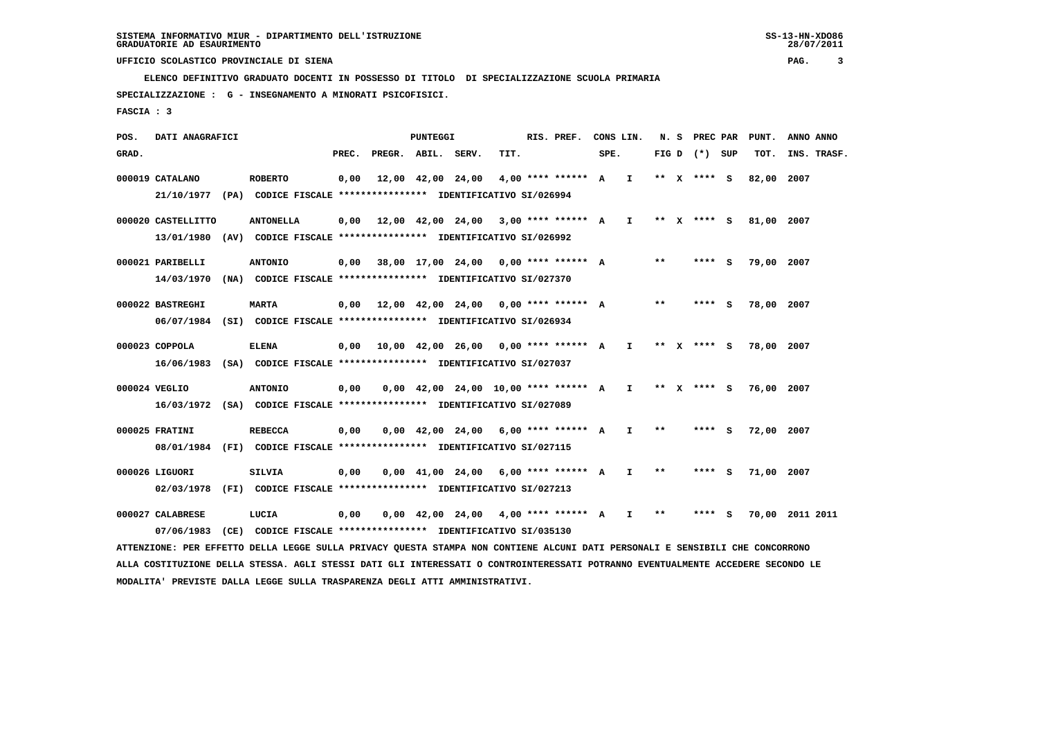**ELENCO DEFINITIVO GRADUATO DOCENTI IN POSSESSO DI TITOLO DI SPECIALIZZAZIONE SCUOLA PRIMARIA**

 **SPECIALIZZAZIONE : G - INSEGNAMENTO A MINORATI PSICOFISICI.**

 **FASCIA : 3**

 **POS. DATI ANAGRAFICI PUNTEGGI RIS. PREF. CONS LIN. N. S PREC PAR PUNT. ANNO ANNO**GRAD. **PREGRADE SERVEGE SERVE SERVE SPEREGE SPEREGALES SPEREGALES SPEREGALES SPEREGALES SPEREGALES SUP TOT. INS. TRASF. 000019 CATALANO ROBERTO 0,00 12,00 42,00 24,00 4,00 \*\*\*\* \*\*\*\*\*\* A I \*\* X \*\*\*\* S 82,00 2007 21/10/1977 (PA) CODICE FISCALE \*\*\*\*\*\*\*\*\*\*\*\*\*\*\*\* IDENTIFICATIVO SI/026994 000020 CASTELLITTO ANTONELLA 0,00 12,00 42,00 24,00 3,00 \*\*\*\* \*\*\*\*\*\* A I \*\* X \*\*\*\* S 81,00 2007 13/01/1980 (AV) CODICE FISCALE \*\*\*\*\*\*\*\*\*\*\*\*\*\*\*\* IDENTIFICATIVO SI/026992 000021 PARIBELLI ANTONIO 0,00 38,00 17,00 24,00 0,00 \*\*\*\* \*\*\*\*\*\* A \*\* \*\*\*\* S 79,00 2007 14/03/1970 (NA) CODICE FISCALE \*\*\*\*\*\*\*\*\*\*\*\*\*\*\*\* IDENTIFICATIVO SI/027370 000022 BASTREGHI MARTA 0,00 12,00 42,00 24,00 0,00 \*\*\*\* \*\*\*\*\*\* A \*\* \*\*\*\* S 78,00 2007 06/07/1984 (SI) CODICE FISCALE \*\*\*\*\*\*\*\*\*\*\*\*\*\*\*\* IDENTIFICATIVO SI/026934 000023 COPPOLA ELENA 0,00 10,00 42,00 26,00 0,00 \*\*\*\* \*\*\*\*\*\* A I \*\* X \*\*\*\* S 78,00 2007 16/06/1983 (SA) CODICE FISCALE \*\*\*\*\*\*\*\*\*\*\*\*\*\*\*\* IDENTIFICATIVO SI/027037**

- **000024 VEGLIO ANTONIO 0,00 0,00 42,00 24,00 10,00 \*\*\*\* \*\*\*\*\*\* A I \*\* X \*\*\*\* S 76,00 2007 16/03/1972 (SA) CODICE FISCALE \*\*\*\*\*\*\*\*\*\*\*\*\*\*\*\* IDENTIFICATIVO SI/027089**
- **000025 FRATINI REBECCA 0,00 0,00 42,00 24,00 6,00 \*\*\*\* \*\*\*\*\*\* A I \*\* \*\*\*\* S 72,00 2007 08/01/1984 (FI) CODICE FISCALE \*\*\*\*\*\*\*\*\*\*\*\*\*\*\*\* IDENTIFICATIVO SI/027115**
- **000026 LIGUORI SILVIA 0,00 0,00 41,00 24,00 6,00 \*\*\*\* \*\*\*\*\*\* A I \*\* \*\*\*\* S 71,00 2007 02/03/1978 (FI) CODICE FISCALE \*\*\*\*\*\*\*\*\*\*\*\*\*\*\*\* IDENTIFICATIVO SI/027213**

 **000027 CALABRESE LUCIA 0,00 0,00 42,00 24,00 4,00 \*\*\*\* \*\*\*\*\*\* A I \*\* \*\*\*\* S 70,00 2011 2011 07/06/1983 (CE) CODICE FISCALE \*\*\*\*\*\*\*\*\*\*\*\*\*\*\*\* IDENTIFICATIVO SI/035130 ATTENZIONE: PER EFFETTO DELLA LEGGE SULLA PRIVACY QUESTA STAMPA NON CONTIENE ALCUNI DATI PERSONALI E SENSIBILI CHE CONCORRONO ALLA COSTITUZIONE DELLA STESSA. AGLI STESSI DATI GLI INTERESSATI O CONTROINTERESSATI POTRANNO EVENTUALMENTE ACCEDERE SECONDO LE**

 **MODALITA' PREVISTE DALLA LEGGE SULLA TRASPARENZA DEGLI ATTI AMMINISTRATIVI.**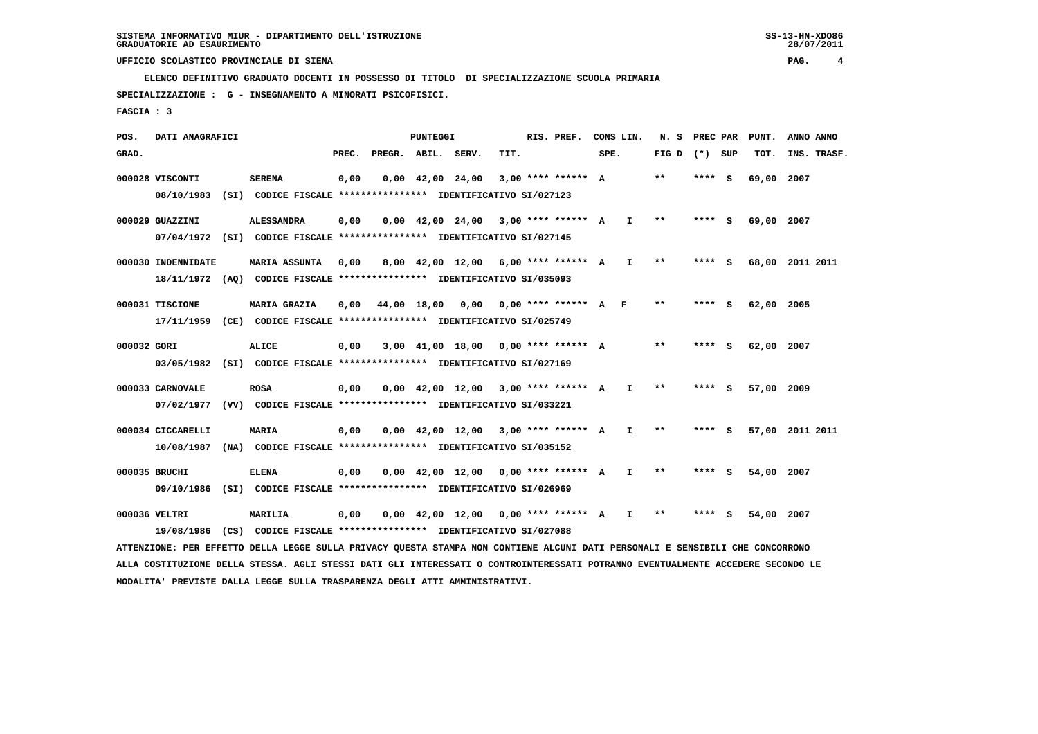**ELENCO DEFINITIVO GRADUATO DOCENTI IN POSSESSO DI TITOLO DI SPECIALIZZAZIONE SCUOLA PRIMARIA**

 **SPECIALIZZAZIONE : G - INSEGNAMENTO A MINORATI PSICOFISICI.**

 **FASCIA : 3**

 **POS. DATI ANAGRAFICI PUNTEGGI RIS. PREF. CONS LIN. N. S PREC PAR PUNT. ANNO ANNO**GRAD. **PREGRADE SERVEGE SERVE SERVE SPEREGE SPEREGALES SPEREGALES SPEREGALES SPEREGALES SPEREGALES SUP TOT. INS. TRASF. 000028 VISCONTI SERENA 0,00 0,00 42,00 24,00 3,00 \*\*\*\* \*\*\*\*\*\* A \*\* \*\*\*\* S 69,00 2007 08/10/1983 (SI) CODICE FISCALE \*\*\*\*\*\*\*\*\*\*\*\*\*\*\*\* IDENTIFICATIVO SI/027123 000029 GUAZZINI ALESSANDRA 0,00 0,00 42,00 24,00 3,00 \*\*\*\* \*\*\*\*\*\* A I \*\* \*\*\*\* S 69,00 2007 07/04/1972 (SI) CODICE FISCALE \*\*\*\*\*\*\*\*\*\*\*\*\*\*\*\* IDENTIFICATIVO SI/027145 000030 INDENNIDATE MARIA ASSUNTA 0,00 8,00 42,00 12,00 6,00 \*\*\*\* \*\*\*\*\*\* A I \*\* \*\*\*\* S 68,00 2011 2011 18/11/1972 (AQ) CODICE FISCALE \*\*\*\*\*\*\*\*\*\*\*\*\*\*\*\* IDENTIFICATIVO SI/035093 000031 TISCIONE MARIA GRAZIA 0,00 44,00 18,00 0,00 0,00 \*\*\*\* \*\*\*\*\*\* A F \*\* \*\*\*\* S 62,00 2005 17/11/1959 (CE) CODICE FISCALE \*\*\*\*\*\*\*\*\*\*\*\*\*\*\*\* IDENTIFICATIVO SI/025749 000032 GORI ALICE 0,00 3,00 41,00 18,00 0,00 \*\*\*\* \*\*\*\*\*\* A \*\* \*\*\*\* S 62,00 2007 03/05/1982 (SI) CODICE FISCALE \*\*\*\*\*\*\*\*\*\*\*\*\*\*\*\* IDENTIFICATIVO SI/027169 000033 CARNOVALE ROSA 0,00 0,00 42,00 12,00 3,00 \*\*\*\* \*\*\*\*\*\* A I \*\* \*\*\*\* S 57,00 2009 07/02/1977 (VV) CODICE FISCALE \*\*\*\*\*\*\*\*\*\*\*\*\*\*\*\* IDENTIFICATIVO SI/033221 000034 CICCARELLI MARIA 0,00 0,00 42,00 12,00 3,00 \*\*\*\* \*\*\*\*\*\* A I \*\* \*\*\*\* S 57,00 2011 2011 10/08/1987 (NA) CODICE FISCALE \*\*\*\*\*\*\*\*\*\*\*\*\*\*\*\* IDENTIFICATIVO SI/035152**

 **000035 BRUCHI ELENA 0,00 0,00 42,00 12,00 0,00 \*\*\*\* \*\*\*\*\*\* A I \*\* \*\*\*\* S 54,00 2007 09/10/1986 (SI) CODICE FISCALE \*\*\*\*\*\*\*\*\*\*\*\*\*\*\*\* IDENTIFICATIVO SI/026969**

 **000036 VELTRI MARILIA 0,00 0,00 42,00 12,00 0,00 \*\*\*\* \*\*\*\*\*\* A I \*\* \*\*\*\* S 54,00 2007 19/08/1986 (CS) CODICE FISCALE \*\*\*\*\*\*\*\*\*\*\*\*\*\*\*\* IDENTIFICATIVO SI/027088**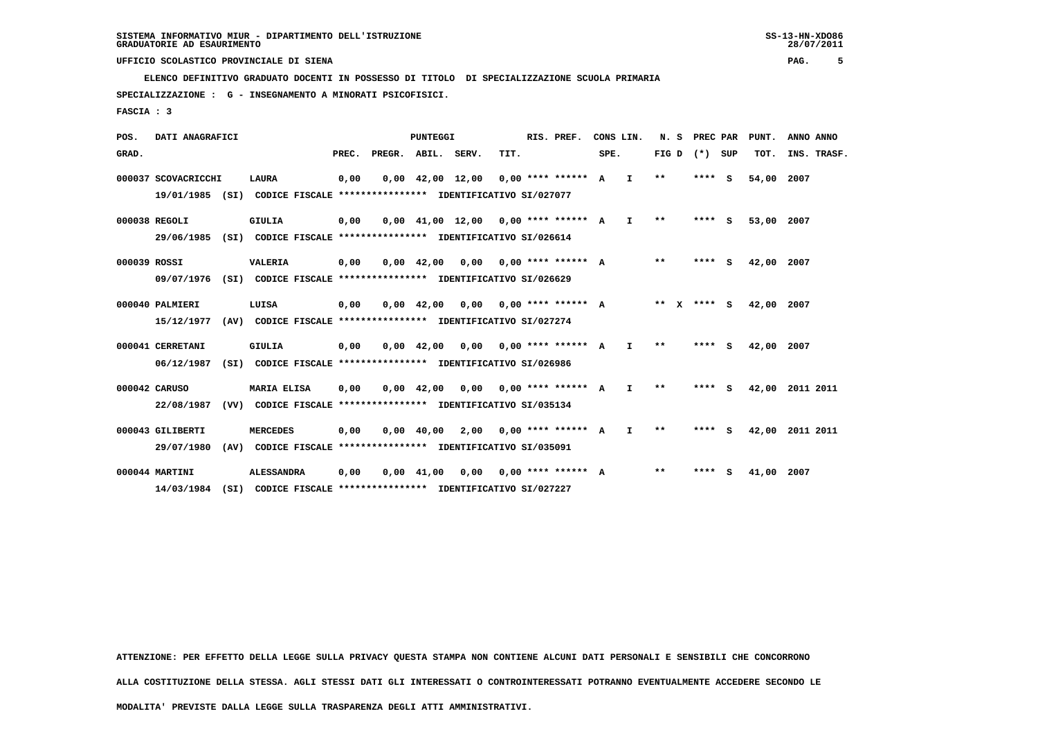**ELENCO DEFINITIVO GRADUATO DOCENTI IN POSSESSO DI TITOLO DI SPECIALIZZAZIONE SCUOLA PRIMARIA**

 **SPECIALIZZAZIONE : G - INSEGNAMENTO A MINORATI PSICOFISICI.**

 **FASCIA : 3**

 **POS. DATI ANAGRAFICI PUNTEGGI RIS. PREF. CONS LIN. N. S PREC PAR PUNT. ANNO ANNO**GRAD. **BRAD. PREC. PREGR. ABIL. SERV. TIT.** SPE. FIG D (\*) SUP TOT. INS. TRASF.  **000037 SCOVACRICCHI LAURA 0,00 0,00 42,00 12,00 0,00 \*\*\*\* \*\*\*\*\*\* A I \*\* \*\*\*\* S 54,00 2007 19/01/1985 (SI) CODICE FISCALE \*\*\*\*\*\*\*\*\*\*\*\*\*\*\*\* IDENTIFICATIVO SI/027077 000038 REGOLI GIULIA 0,00 0,00 41,00 12,00 0,00 \*\*\*\* \*\*\*\*\*\* A I \*\* \*\*\*\* S 53,00 2007 29/06/1985 (SI) CODICE FISCALE \*\*\*\*\*\*\*\*\*\*\*\*\*\*\*\* IDENTIFICATIVO SI/026614 000039 ROSSI VALERIA 0,00 0,00 42,00 0,00 0,00 \*\*\*\* \*\*\*\*\*\* A \*\* \*\*\*\* S 42,00 2007 09/07/1976 (SI) CODICE FISCALE \*\*\*\*\*\*\*\*\*\*\*\*\*\*\*\* IDENTIFICATIVO SI/026629 000040 PALMIERI LUISA 0,00 0,00 42,00 0,00 0,00 \*\*\*\* \*\*\*\*\*\* A \*\* X \*\*\*\* S 42,00 2007 15/12/1977 (AV) CODICE FISCALE \*\*\*\*\*\*\*\*\*\*\*\*\*\*\*\* IDENTIFICATIVO SI/027274 000041 CERRETANI GIULIA 0,00 0,00 42,00 0,00 0,00 \*\*\*\* \*\*\*\*\*\* A I \*\* \*\*\*\* S 42,00 2007 06/12/1987 (SI) CODICE FISCALE \*\*\*\*\*\*\*\*\*\*\*\*\*\*\*\* IDENTIFICATIVO SI/026986 000042 CARUSO MARIA ELISA 0,00 0,00 42,00 0,00 0,00 \*\*\*\* \*\*\*\*\*\* A I \*\* \*\*\*\* S 42,00 2011 2011 22/08/1987 (VV) CODICE FISCALE \*\*\*\*\*\*\*\*\*\*\*\*\*\*\*\* IDENTIFICATIVO SI/035134 000043 GILIBERTI MERCEDES 0,00 0,00 40,00 2,00 0,00 \*\*\*\* \*\*\*\*\*\* A I \*\* \*\*\*\* S 42,00 2011 2011 29/07/1980 (AV) CODICE FISCALE \*\*\*\*\*\*\*\*\*\*\*\*\*\*\*\* IDENTIFICATIVO SI/035091 000044 MARTINI ALESSANDRA 0,00 0,00 41,00 0,00 0,00 \*\*\*\* \*\*\*\*\*\* A \*\* \*\*\*\* S 41,00 2007 14/03/1984 (SI) CODICE FISCALE \*\*\*\*\*\*\*\*\*\*\*\*\*\*\*\* IDENTIFICATIVO SI/027227**

 **ATTENZIONE: PER EFFETTO DELLA LEGGE SULLA PRIVACY QUESTA STAMPA NON CONTIENE ALCUNI DATI PERSONALI E SENSIBILI CHE CONCORRONO**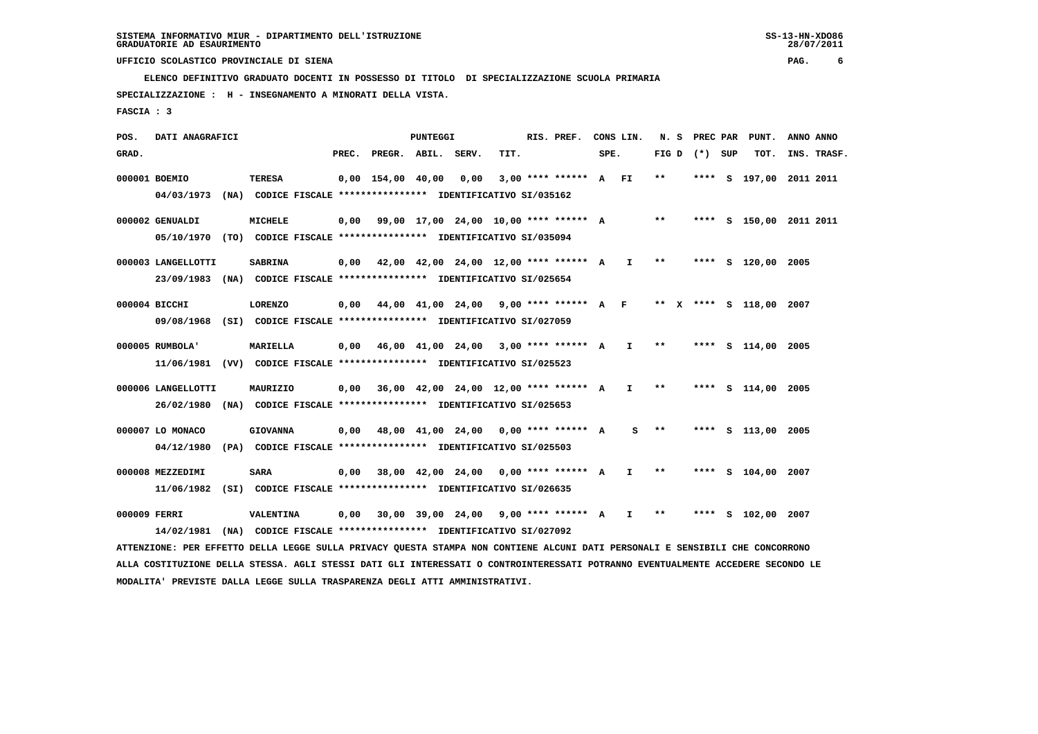**ELENCO DEFINITIVO GRADUATO DOCENTI IN POSSESSO DI TITOLO DI SPECIALIZZAZIONE SCUOLA PRIMARIA**

 **SPECIALIZZAZIONE : H - INSEGNAMENTO A MINORATI DELLA VISTA.**

 **FASCIA : 3**

 **POS. DATI ANAGRAFICI PUNTEGGI RIS. PREF. CONS LIN. N. S PREC PAR PUNT. ANNO ANNO**GRAD. **PREGRADE SERVEGE SERVE SERVE SPEREGE SPEREGALES SPEREGALES SPEREGALES SPEREGALES SPEREGALES SUP TOT. INS. TRASF. 000001 BOEMIO TERESA 0,00 154,00 40,00 0,00 3,00 \*\*\*\* \*\*\*\*\*\* A FI \*\* \*\*\*\* S 197,00 2011 2011 04/03/1973 (NA) CODICE FISCALE \*\*\*\*\*\*\*\*\*\*\*\*\*\*\*\* IDENTIFICATIVO SI/035162 000002 GENUALDI MICHELE 0,00 99,00 17,00 24,00 10,00 \*\*\*\* \*\*\*\*\*\* A \*\* \*\*\*\* S 150,00 2011 2011**

 **05/10/1970 (TO) CODICE FISCALE \*\*\*\*\*\*\*\*\*\*\*\*\*\*\*\* IDENTIFICATIVO SI/035094 000003 LANGELLOTTI SABRINA 0,00 42,00 42,00 24,00 12,00 \*\*\*\* \*\*\*\*\*\* A I \*\* \*\*\*\* S 120,00 2005**

 **23/09/1983 (NA) CODICE FISCALE \*\*\*\*\*\*\*\*\*\*\*\*\*\*\*\* IDENTIFICATIVO SI/025654**

 **000004 BICCHI LORENZO 0,00 44,00 41,00 24,00 9,00 \*\*\*\* \*\*\*\*\*\* A F \*\* X \*\*\*\* S 118,00 2007 09/08/1968 (SI) CODICE FISCALE \*\*\*\*\*\*\*\*\*\*\*\*\*\*\*\* IDENTIFICATIVO SI/027059**

- **000005 RUMBOLA' MARIELLA 0,00 46,00 41,00 24,00 3,00 \*\*\*\* \*\*\*\*\*\* A I \*\* \*\*\*\* S 114,00 2005 11/06/1981 (VV) CODICE FISCALE \*\*\*\*\*\*\*\*\*\*\*\*\*\*\*\* IDENTIFICATIVO SI/025523**
- **000006 LANGELLOTTI MAURIZIO 0,00 36,00 42,00 24,00 12,00 \*\*\*\* \*\*\*\*\*\* A I \*\* \*\*\*\* S 114,00 2005 26/02/1980 (NA) CODICE FISCALE \*\*\*\*\*\*\*\*\*\*\*\*\*\*\*\* IDENTIFICATIVO SI/025653**

 **000007 LO MONACO GIOVANNA 0,00 48,00 41,00 24,00 0,00 \*\*\*\* \*\*\*\*\*\* A S \*\* \*\*\*\* S 113,00 2005 04/12/1980 (PA) CODICE FISCALE \*\*\*\*\*\*\*\*\*\*\*\*\*\*\*\* IDENTIFICATIVO SI/025503**

 **000008 MEZZEDIMI SARA 0,00 38,00 42,00 24,00 0,00 \*\*\*\* \*\*\*\*\*\* A I \*\* \*\*\*\* S 104,00 2007 11/06/1982 (SI) CODICE FISCALE \*\*\*\*\*\*\*\*\*\*\*\*\*\*\*\* IDENTIFICATIVO SI/026635**

 **000009 FERRI VALENTINA 0,00 30,00 39,00 24,00 9,00 \*\*\*\* \*\*\*\*\*\* A I \*\* \*\*\*\* S 102,00 2007 14/02/1981 (NA) CODICE FISCALE \*\*\*\*\*\*\*\*\*\*\*\*\*\*\*\* IDENTIFICATIVO SI/027092**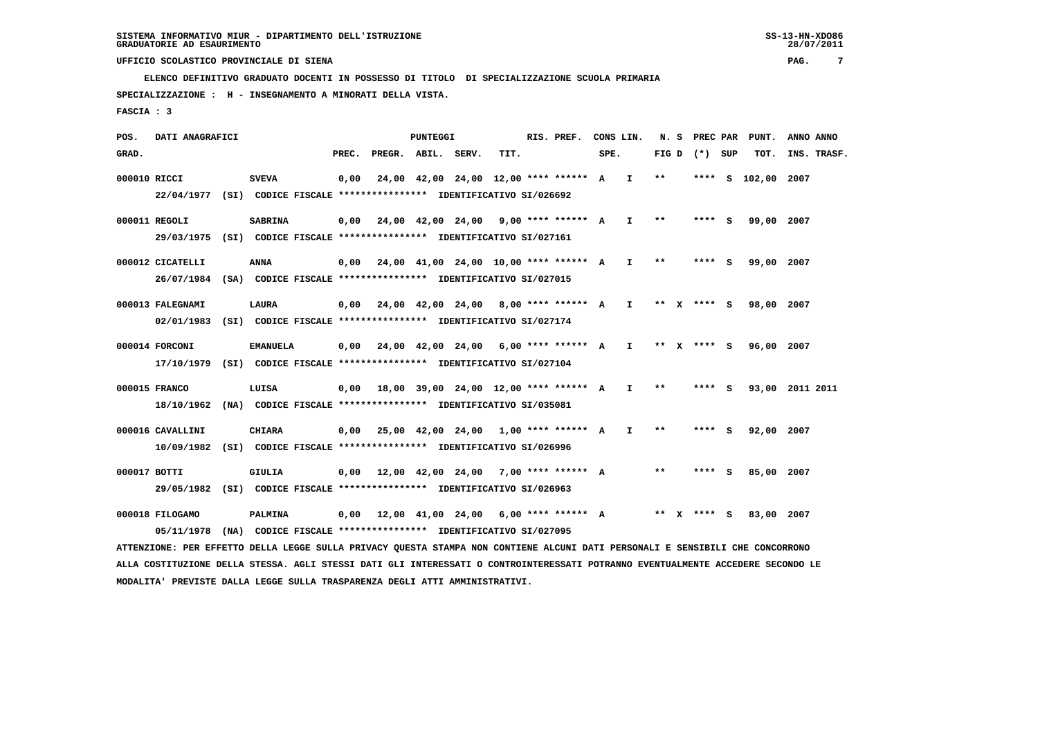**ELENCO DEFINITIVO GRADUATO DOCENTI IN POSSESSO DI TITOLO DI SPECIALIZZAZIONE SCUOLA PRIMARIA**

 **SPECIALIZZAZIONE : H - INSEGNAMENTO A MINORATI DELLA VISTA.**

 **FASCIA : 3**

 **POS. DATI ANAGRAFICI PUNTEGGI RIS. PREF. CONS LIN. N. S PREC PAR PUNT. ANNO ANNO**GRAD. **PREGRADE SERVEGE SERVE SERVE SPEREGE SPEREGALES SPEREGALES SPEREGALES SPEREGALES SPEREGALES SUP TOT. INS. TRASF. 000010 RICCI SVEVA 0,00 24,00 42,00 24,00 12,00 \*\*\*\* \*\*\*\*\*\* A I \*\* \*\*\*\* S 102,00 2007 22/04/1977 (SI) CODICE FISCALE \*\*\*\*\*\*\*\*\*\*\*\*\*\*\*\* IDENTIFICATIVO SI/026692 000011 REGOLI SABRINA 0,00 24,00 42,00 24,00 9,00 \*\*\*\* \*\*\*\*\*\* A I \*\* \*\*\*\* S 99,00 2007 29/03/1975 (SI) CODICE FISCALE \*\*\*\*\*\*\*\*\*\*\*\*\*\*\*\* IDENTIFICATIVO SI/027161 000012 CICATELLI ANNA 0,00 24,00 41,00 24,00 10,00 \*\*\*\* \*\*\*\*\*\* A I \*\* \*\*\*\* S 99,00 2007 26/07/1984 (SA) CODICE FISCALE \*\*\*\*\*\*\*\*\*\*\*\*\*\*\*\* IDENTIFICATIVO SI/027015**

 **000013 FALEGNAMI LAURA 0,00 24,00 42,00 24,00 8,00 \*\*\*\* \*\*\*\*\*\* A I \*\* X \*\*\*\* S 98,00 2007 02/01/1983 (SI) CODICE FISCALE \*\*\*\*\*\*\*\*\*\*\*\*\*\*\*\* IDENTIFICATIVO SI/027174**

- **000014 FORCONI EMANUELA 0,00 24,00 42,00 24,00 6,00 \*\*\*\* \*\*\*\*\*\* A I \*\* X \*\*\*\* S 96,00 2007 17/10/1979 (SI) CODICE FISCALE \*\*\*\*\*\*\*\*\*\*\*\*\*\*\*\* IDENTIFICATIVO SI/027104**
- **000015 FRANCO LUISA 0,00 18,00 39,00 24,00 12,00 \*\*\*\* \*\*\*\*\*\* A I \*\* \*\*\*\* S 93,00 2011 2011 18/10/1962 (NA) CODICE FISCALE \*\*\*\*\*\*\*\*\*\*\*\*\*\*\*\* IDENTIFICATIVO SI/035081**

 **000016 CAVALLINI CHIARA 0,00 25,00 42,00 24,00 1,00 \*\*\*\* \*\*\*\*\*\* A I \*\* \*\*\*\* S 92,00 2007 10/09/1982 (SI) CODICE FISCALE \*\*\*\*\*\*\*\*\*\*\*\*\*\*\*\* IDENTIFICATIVO SI/026996**

 **000017 BOTTI GIULIA 0,00 12,00 42,00 24,00 7,00 \*\*\*\* \*\*\*\*\*\* A \*\* \*\*\*\* S 85,00 2007 29/05/1982 (SI) CODICE FISCALE \*\*\*\*\*\*\*\*\*\*\*\*\*\*\*\* IDENTIFICATIVO SI/026963**

 **000018 FILOGAMO PALMINA 0,00 12,00 41,00 24,00 6,00 \*\*\*\* \*\*\*\*\*\* A \*\* X \*\*\*\* S 83,00 2007 05/11/1978 (NA) CODICE FISCALE \*\*\*\*\*\*\*\*\*\*\*\*\*\*\*\* IDENTIFICATIVO SI/027095**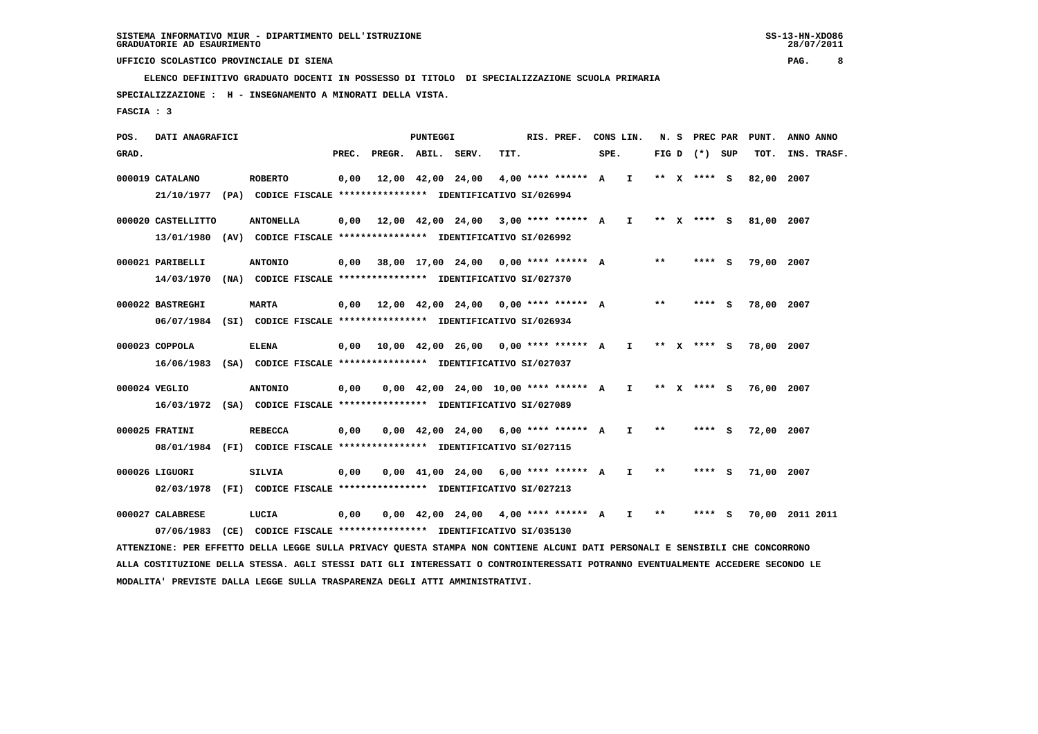**ELENCO DEFINITIVO GRADUATO DOCENTI IN POSSESSO DI TITOLO DI SPECIALIZZAZIONE SCUOLA PRIMARIA**

 **SPECIALIZZAZIONE : H - INSEGNAMENTO A MINORATI DELLA VISTA.**

 **FASCIA : 3**

 **POS. DATI ANAGRAFICI PUNTEGGI RIS. PREF. CONS LIN. N. S PREC PAR PUNT. ANNO ANNO**GRAD. **PREGRADE SERVEGR. ABIL. SERV. TIT.** SPE. FIG D (\*) SUP TOT. INS. TRASF.  **000019 CATALANO ROBERTO 0,00 12,00 42,00 24,00 4,00 \*\*\*\* \*\*\*\*\*\* A I \*\* X \*\*\*\* S 82,00 2007 21/10/1977 (PA) CODICE FISCALE \*\*\*\*\*\*\*\*\*\*\*\*\*\*\*\* IDENTIFICATIVO SI/026994 000020 CASTELLITTO ANTONELLA 0,00 12,00 42,00 24,00 3,00 \*\*\*\* \*\*\*\*\*\* A I \*\* X \*\*\*\* S 81,00 2007 13/01/1980 (AV) CODICE FISCALE \*\*\*\*\*\*\*\*\*\*\*\*\*\*\*\* IDENTIFICATIVO SI/026992 000021 PARIBELLI ANTONIO 0,00 38,00 17,00 24,00 0,00 \*\*\*\* \*\*\*\*\*\* A \*\* \*\*\*\* S 79,00 2007 14/03/1970 (NA) CODICE FISCALE \*\*\*\*\*\*\*\*\*\*\*\*\*\*\*\* IDENTIFICATIVO SI/027370 000022 BASTREGHI MARTA 0,00 12,00 42,00 24,00 0,00 \*\*\*\* \*\*\*\*\*\* A \*\* \*\*\*\* S 78,00 2007 06/07/1984 (SI) CODICE FISCALE \*\*\*\*\*\*\*\*\*\*\*\*\*\*\*\* IDENTIFICATIVO SI/026934 000023 COPPOLA ELENA 0,00 10,00 42,00 26,00 0,00 \*\*\*\* \*\*\*\*\*\* A I \*\* X \*\*\*\* S 78,00 2007 16/06/1983 (SA) CODICE FISCALE \*\*\*\*\*\*\*\*\*\*\*\*\*\*\*\* IDENTIFICATIVO SI/027037**

 **000024 VEGLIO ANTONIO 0,00 0,00 42,00 24,00 10,00 \*\*\*\* \*\*\*\*\*\* A I \*\* X \*\*\*\* S 76,00 2007 16/03/1972 (SA) CODICE FISCALE \*\*\*\*\*\*\*\*\*\*\*\*\*\*\*\* IDENTIFICATIVO SI/027089**

 **000025 FRATINI REBECCA 0,00 0,00 42,00 24,00 6,00 \*\*\*\* \*\*\*\*\*\* A I \*\* \*\*\*\* S 72,00 2007 08/01/1984 (FI) CODICE FISCALE \*\*\*\*\*\*\*\*\*\*\*\*\*\*\*\* IDENTIFICATIVO SI/027115**

 **000026 LIGUORI SILVIA 0,00 0,00 41,00 24,00 6,00 \*\*\*\* \*\*\*\*\*\* A I \*\* \*\*\*\* S 71,00 2007 02/03/1978 (FI) CODICE FISCALE \*\*\*\*\*\*\*\*\*\*\*\*\*\*\*\* IDENTIFICATIVO SI/027213**

 **000027 CALABRESE LUCIA 0,00 0,00 42,00 24,00 4,00 \*\*\*\* \*\*\*\*\*\* A I \*\* \*\*\*\* S 70,00 2011 2011 07/06/1983 (CE) CODICE FISCALE \*\*\*\*\*\*\*\*\*\*\*\*\*\*\*\* IDENTIFICATIVO SI/035130 ATTENZIONE: PER EFFETTO DELLA LEGGE SULLA PRIVACY QUESTA STAMPA NON CONTIENE ALCUNI DATI PERSONALI E SENSIBILI CHE CONCORRONO ALLA COSTITUZIONE DELLA STESSA. AGLI STESSI DATI GLI INTERESSATI O CONTROINTERESSATI POTRANNO EVENTUALMENTE ACCEDERE SECONDO LE**

 **MODALITA' PREVISTE DALLA LEGGE SULLA TRASPARENZA DEGLI ATTI AMMINISTRATIVI.**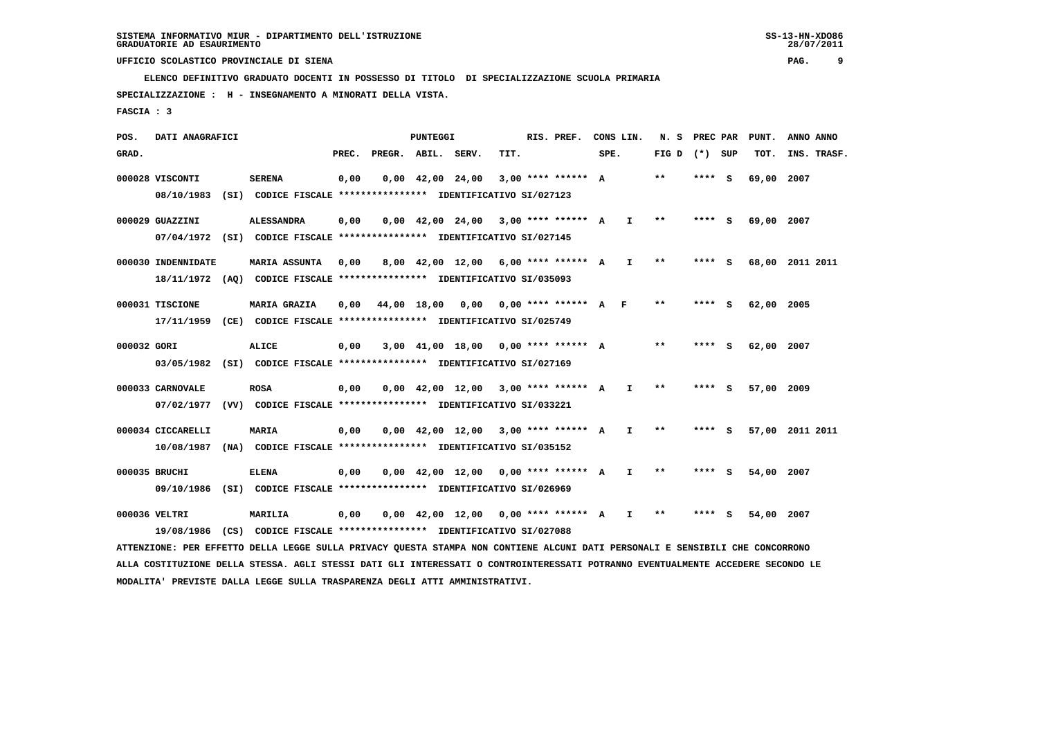**ELENCO DEFINITIVO GRADUATO DOCENTI IN POSSESSO DI TITOLO DI SPECIALIZZAZIONE SCUOLA PRIMARIA**

 **SPECIALIZZAZIONE : H - INSEGNAMENTO A MINORATI DELLA VISTA.**

 **FASCIA : 3**

 **POS. DATI ANAGRAFICI PUNTEGGI RIS. PREF. CONS LIN. N. S PREC PAR PUNT. ANNO ANNO**GRAD. **PREGRADE SERVEGE SERVE SERVE SPEREGE SPEREGALES SPEREGALES SPEREGALES SPEREGALES SPEREGALES SUP TOT. INS. TRASF. 000028 VISCONTI SERENA 0,00 0,00 42,00 24,00 3,00 \*\*\*\* \*\*\*\*\*\* A \*\* \*\*\*\* S 69,00 2007 08/10/1983 (SI) CODICE FISCALE \*\*\*\*\*\*\*\*\*\*\*\*\*\*\*\* IDENTIFICATIVO SI/027123 000029 GUAZZINI ALESSANDRA 0,00 0,00 42,00 24,00 3,00 \*\*\*\* \*\*\*\*\*\* A I \*\* \*\*\*\* S 69,00 2007 07/04/1972 (SI) CODICE FISCALE \*\*\*\*\*\*\*\*\*\*\*\*\*\*\*\* IDENTIFICATIVO SI/027145 000030 INDENNIDATE MARIA ASSUNTA 0,00 8,00 42,00 12,00 6,00 \*\*\*\* \*\*\*\*\*\* A I \*\* \*\*\*\* S 68,00 2011 2011 18/11/1972 (AQ) CODICE FISCALE \*\*\*\*\*\*\*\*\*\*\*\*\*\*\*\* IDENTIFICATIVO SI/035093 000031 TISCIONE MARIA GRAZIA 0,00 44,00 18,00 0,00 0,00 \*\*\*\* \*\*\*\*\*\* A F \*\* \*\*\*\* S 62,00 2005 17/11/1959 (CE) CODICE FISCALE \*\*\*\*\*\*\*\*\*\*\*\*\*\*\*\* IDENTIFICATIVO SI/025749 000032 GORI ALICE 0,00 3,00 41,00 18,00 0,00 \*\*\*\* \*\*\*\*\*\* A \*\* \*\*\*\* S 62,00 2007 03/05/1982 (SI) CODICE FISCALE \*\*\*\*\*\*\*\*\*\*\*\*\*\*\*\* IDENTIFICATIVO SI/027169 000033 CARNOVALE ROSA 0,00 0,00 42,00 12,00 3,00 \*\*\*\* \*\*\*\*\*\* A I \*\* \*\*\*\* S 57,00 2009 07/02/1977 (VV) CODICE FISCALE \*\*\*\*\*\*\*\*\*\*\*\*\*\*\*\* IDENTIFICATIVO SI/033221**

 **000034 CICCARELLI MARIA 0,00 0,00 42,00 12,00 3,00 \*\*\*\* \*\*\*\*\*\* A I \*\* \*\*\*\* S 57,00 2011 2011 10/08/1987 (NA) CODICE FISCALE \*\*\*\*\*\*\*\*\*\*\*\*\*\*\*\* IDENTIFICATIVO SI/035152**

 **000035 BRUCHI ELENA 0,00 0,00 42,00 12,00 0,00 \*\*\*\* \*\*\*\*\*\* A I \*\* \*\*\*\* S 54,00 2007 09/10/1986 (SI) CODICE FISCALE \*\*\*\*\*\*\*\*\*\*\*\*\*\*\*\* IDENTIFICATIVO SI/026969**

 **000036 VELTRI MARILIA 0,00 0,00 42,00 12,00 0,00 \*\*\*\* \*\*\*\*\*\* A I \*\* \*\*\*\* S 54,00 2007 19/08/1986 (CS) CODICE FISCALE \*\*\*\*\*\*\*\*\*\*\*\*\*\*\*\* IDENTIFICATIVO SI/027088**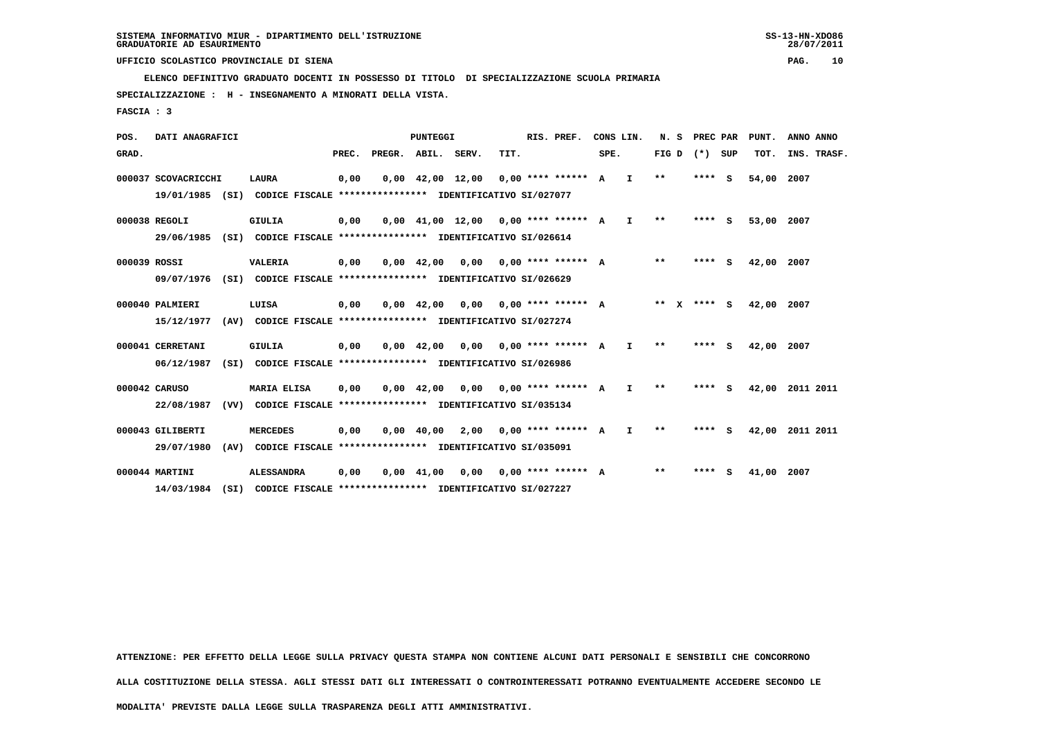**ELENCO DEFINITIVO GRADUATO DOCENTI IN POSSESSO DI TITOLO DI SPECIALIZZAZIONE SCUOLA PRIMARIA**

 **SPECIALIZZAZIONE : H - INSEGNAMENTO A MINORATI DELLA VISTA.**

 **FASCIA : 3**

 **POS. DATI ANAGRAFICI PUNTEGGI RIS. PREF. CONS LIN. N. S PREC PAR PUNT. ANNO ANNO**GRAD. **BRAD. PREC. PREGR. ABIL. SERV. TIT.** SPE. FIG D (\*) SUP TOT. INS. TRASF.  **000037 SCOVACRICCHI LAURA 0,00 0,00 42,00 12,00 0,00 \*\*\*\* \*\*\*\*\*\* A I \*\* \*\*\*\* S 54,00 2007 19/01/1985 (SI) CODICE FISCALE \*\*\*\*\*\*\*\*\*\*\*\*\*\*\*\* IDENTIFICATIVO SI/027077 000038 REGOLI GIULIA 0,00 0,00 41,00 12,00 0,00 \*\*\*\* \*\*\*\*\*\* A I \*\* \*\*\*\* S 53,00 2007 29/06/1985 (SI) CODICE FISCALE \*\*\*\*\*\*\*\*\*\*\*\*\*\*\*\* IDENTIFICATIVO SI/026614 000039 ROSSI VALERIA 0,00 0,00 42,00 0,00 0,00 \*\*\*\* \*\*\*\*\*\* A \*\* \*\*\*\* S 42,00 2007 09/07/1976 (SI) CODICE FISCALE \*\*\*\*\*\*\*\*\*\*\*\*\*\*\*\* IDENTIFICATIVO SI/026629 000040 PALMIERI LUISA 0,00 0,00 42,00 0,00 0,00 \*\*\*\* \*\*\*\*\*\* A \*\* X \*\*\*\* S 42,00 2007 15/12/1977 (AV) CODICE FISCALE \*\*\*\*\*\*\*\*\*\*\*\*\*\*\*\* IDENTIFICATIVO SI/027274 000041 CERRETANI GIULIA 0,00 0,00 42,00 0,00 0,00 \*\*\*\* \*\*\*\*\*\* A I \*\* \*\*\*\* S 42,00 2007 06/12/1987 (SI) CODICE FISCALE \*\*\*\*\*\*\*\*\*\*\*\*\*\*\*\* IDENTIFICATIVO SI/026986 000042 CARUSO MARIA ELISA 0,00 0,00 42,00 0,00 0,00 \*\*\*\* \*\*\*\*\*\* A I \*\* \*\*\*\* S 42,00 2011 2011 22/08/1987 (VV) CODICE FISCALE \*\*\*\*\*\*\*\*\*\*\*\*\*\*\*\* IDENTIFICATIVO SI/035134 000043 GILIBERTI MERCEDES 0,00 0,00 40,00 2,00 0,00 \*\*\*\* \*\*\*\*\*\* A I \*\* \*\*\*\* S 42,00 2011 2011 29/07/1980 (AV) CODICE FISCALE \*\*\*\*\*\*\*\*\*\*\*\*\*\*\*\* IDENTIFICATIVO SI/035091 000044 MARTINI ALESSANDRA 0,00 0,00 41,00 0,00 0,00 \*\*\*\* \*\*\*\*\*\* A \*\* \*\*\*\* S 41,00 2007 14/03/1984 (SI) CODICE FISCALE \*\*\*\*\*\*\*\*\*\*\*\*\*\*\*\* IDENTIFICATIVO SI/027227**

 **ATTENZIONE: PER EFFETTO DELLA LEGGE SULLA PRIVACY QUESTA STAMPA NON CONTIENE ALCUNI DATI PERSONALI E SENSIBILI CHE CONCORRONO**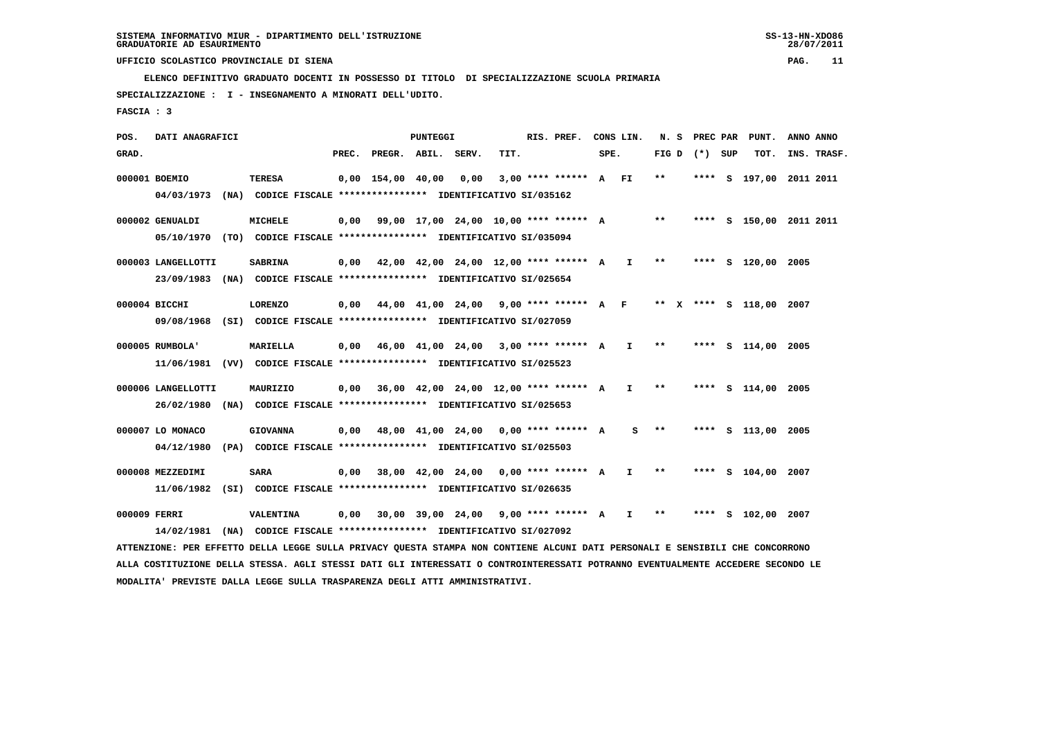**ELENCO DEFINITIVO GRADUATO DOCENTI IN POSSESSO DI TITOLO DI SPECIALIZZAZIONE SCUOLA PRIMARIA**

 **SPECIALIZZAZIONE : I - INSEGNAMENTO A MINORATI DELL'UDITO.**

 **FASCIA : 3**

 **POS. DATI ANAGRAFICI PUNTEGGI RIS. PREF. CONS LIN. N. S PREC PAR PUNT. ANNO ANNO**GRAD. **PREGRADE SERVEGE SERVE SERVE SPEREGE SPEREGALES SPEREGALES SPEREGALES SPEREGALES SPEREGALES SUP TOT. INS. TRASF. 000001 BOEMIO TERESA 0,00 154,00 40,00 0,00 3,00 \*\*\*\* \*\*\*\*\*\* A FI \*\* \*\*\*\* S 197,00 2011 2011 04/03/1973 (NA) CODICE FISCALE \*\*\*\*\*\*\*\*\*\*\*\*\*\*\*\* IDENTIFICATIVO SI/035162 000002 GENUALDI MICHELE 0,00 99,00 17,00 24,00 10,00 \*\*\*\* \*\*\*\*\*\* A \*\* \*\*\*\* S 150,00 2011 2011**

 **05/10/1970 (TO) CODICE FISCALE \*\*\*\*\*\*\*\*\*\*\*\*\*\*\*\* IDENTIFICATIVO SI/035094**

 **000003 LANGELLOTTI SABRINA 0,00 42,00 42,00 24,00 12,00 \*\*\*\* \*\*\*\*\*\* A I \*\* \*\*\*\* S 120,00 2005 23/09/1983 (NA) CODICE FISCALE \*\*\*\*\*\*\*\*\*\*\*\*\*\*\*\* IDENTIFICATIVO SI/025654**

 **000004 BICCHI LORENZO 0,00 44,00 41,00 24,00 9,00 \*\*\*\* \*\*\*\*\*\* A F \*\* X \*\*\*\* S 118,00 2007 09/08/1968 (SI) CODICE FISCALE \*\*\*\*\*\*\*\*\*\*\*\*\*\*\*\* IDENTIFICATIVO SI/027059**

 **000005 RUMBOLA' MARIELLA 0,00 46,00 41,00 24,00 3,00 \*\*\*\* \*\*\*\*\*\* A I \*\* \*\*\*\* S 114,00 2005 11/06/1981 (VV) CODICE FISCALE \*\*\*\*\*\*\*\*\*\*\*\*\*\*\*\* IDENTIFICATIVO SI/025523**

 **000006 LANGELLOTTI MAURIZIO 0,00 36,00 42,00 24,00 12,00 \*\*\*\* \*\*\*\*\*\* A I \*\* \*\*\*\* S 114,00 2005 26/02/1980 (NA) CODICE FISCALE \*\*\*\*\*\*\*\*\*\*\*\*\*\*\*\* IDENTIFICATIVO SI/025653**

 **000007 LO MONACO GIOVANNA 0,00 48,00 41,00 24,00 0,00 \*\*\*\* \*\*\*\*\*\* A S \*\* \*\*\*\* S 113,00 2005 04/12/1980 (PA) CODICE FISCALE \*\*\*\*\*\*\*\*\*\*\*\*\*\*\*\* IDENTIFICATIVO SI/025503**

 **000008 MEZZEDIMI SARA 0,00 38,00 42,00 24,00 0,00 \*\*\*\* \*\*\*\*\*\* A I \*\* \*\*\*\* S 104,00 2007 11/06/1982 (SI) CODICE FISCALE \*\*\*\*\*\*\*\*\*\*\*\*\*\*\*\* IDENTIFICATIVO SI/026635**

 **000009 FERRI VALENTINA 0,00 30,00 39,00 24,00 9,00 \*\*\*\* \*\*\*\*\*\* A I \*\* \*\*\*\* S 102,00 2007 14/02/1981 (NA) CODICE FISCALE \*\*\*\*\*\*\*\*\*\*\*\*\*\*\*\* IDENTIFICATIVO SI/027092**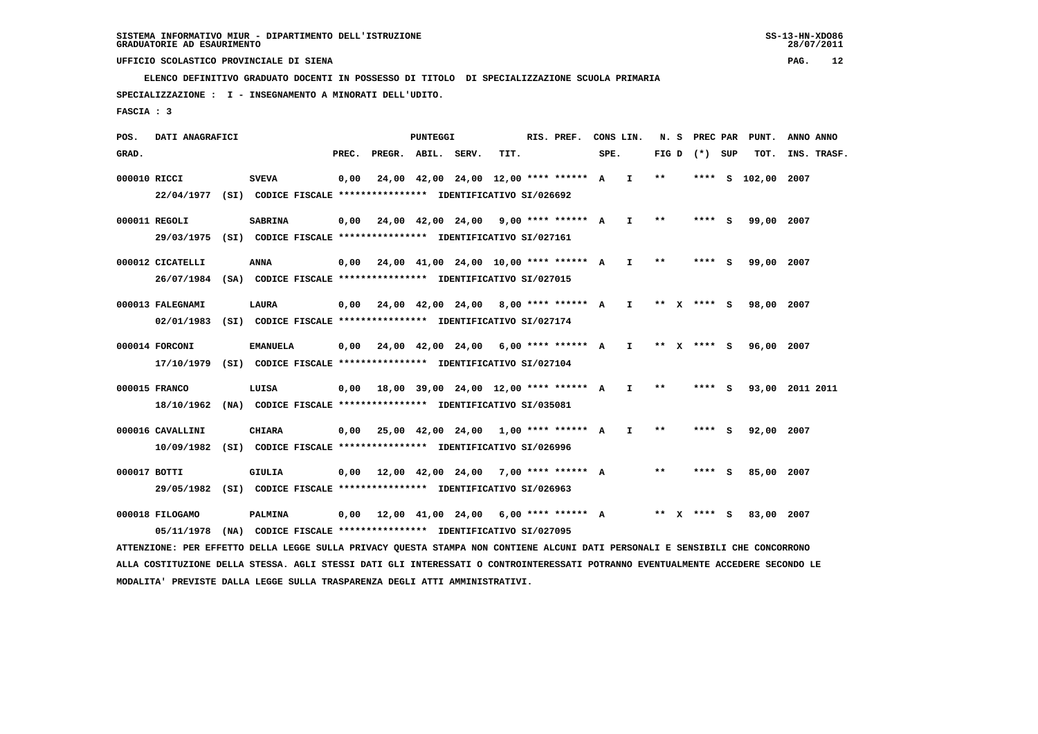**ELENCO DEFINITIVO GRADUATO DOCENTI IN POSSESSO DI TITOLO DI SPECIALIZZAZIONE SCUOLA PRIMARIA**

 **SPECIALIZZAZIONE : I - INSEGNAMENTO A MINORATI DELL'UDITO.**

 **FASCIA : 3**

 **POS. DATI ANAGRAFICI PUNTEGGI RIS. PREF. CONS LIN. N. S PREC PAR PUNT. ANNO ANNO**GRAD. **PREGRADE SERVEGE SERVE SERVE SPEREGE SPEREGALES SPEREGALES SPEREGALES SPEREGALES SPEREGALES SUP TOT. INS. TRASF. 000010 RICCI SVEVA 0,00 24,00 42,00 24,00 12,00 \*\*\*\* \*\*\*\*\*\* A I \*\* \*\*\*\* S 102,00 2007 22/04/1977 (SI) CODICE FISCALE \*\*\*\*\*\*\*\*\*\*\*\*\*\*\*\* IDENTIFICATIVO SI/026692 000011 REGOLI SABRINA 0,00 24,00 42,00 24,00 9,00 \*\*\*\* \*\*\*\*\*\* A I \*\* \*\*\*\* S 99,00 2007 29/03/1975 (SI) CODICE FISCALE \*\*\*\*\*\*\*\*\*\*\*\*\*\*\*\* IDENTIFICATIVO SI/027161 000012 CICATELLI ANNA 0,00 24,00 41,00 24,00 10,00 \*\*\*\* \*\*\*\*\*\* A I \*\* \*\*\*\* S 99,00 2007 26/07/1984 (SA) CODICE FISCALE \*\*\*\*\*\*\*\*\*\*\*\*\*\*\*\* IDENTIFICATIVO SI/027015 000013 FALEGNAMI LAURA 0,00 24,00 42,00 24,00 8,00 \*\*\*\* \*\*\*\*\*\* A I \*\* X \*\*\*\* S 98,00 2007 02/01/1983 (SI) CODICE FISCALE \*\*\*\*\*\*\*\*\*\*\*\*\*\*\*\* IDENTIFICATIVO SI/027174**

- **000014 FORCONI EMANUELA 0,00 24,00 42,00 24,00 6,00 \*\*\*\* \*\*\*\*\*\* A I \*\* X \*\*\*\* S 96,00 2007 17/10/1979 (SI) CODICE FISCALE \*\*\*\*\*\*\*\*\*\*\*\*\*\*\*\* IDENTIFICATIVO SI/027104**
- **000015 FRANCO LUISA 0,00 18,00 39,00 24,00 12,00 \*\*\*\* \*\*\*\*\*\* A I \*\* \*\*\*\* S 93,00 2011 2011 18/10/1962 (NA) CODICE FISCALE \*\*\*\*\*\*\*\*\*\*\*\*\*\*\*\* IDENTIFICATIVO SI/035081**
- **000016 CAVALLINI CHIARA 0,00 25,00 42,00 24,00 1,00 \*\*\*\* \*\*\*\*\*\* A I \*\* \*\*\*\* S 92,00 2007 10/09/1982 (SI) CODICE FISCALE \*\*\*\*\*\*\*\*\*\*\*\*\*\*\*\* IDENTIFICATIVO SI/026996**
- **000017 BOTTI GIULIA 0,00 12,00 42,00 24,00 7,00 \*\*\*\* \*\*\*\*\*\* A \*\* \*\*\*\* S 85,00 2007 29/05/1982 (SI) CODICE FISCALE \*\*\*\*\*\*\*\*\*\*\*\*\*\*\*\* IDENTIFICATIVO SI/026963**
- **000018 FILOGAMO PALMINA 0,00 12,00 41,00 24,00 6,00 \*\*\*\* \*\*\*\*\*\* A \*\* X \*\*\*\* S 83,00 2007 05/11/1978 (NA) CODICE FISCALE \*\*\*\*\*\*\*\*\*\*\*\*\*\*\*\* IDENTIFICATIVO SI/027095**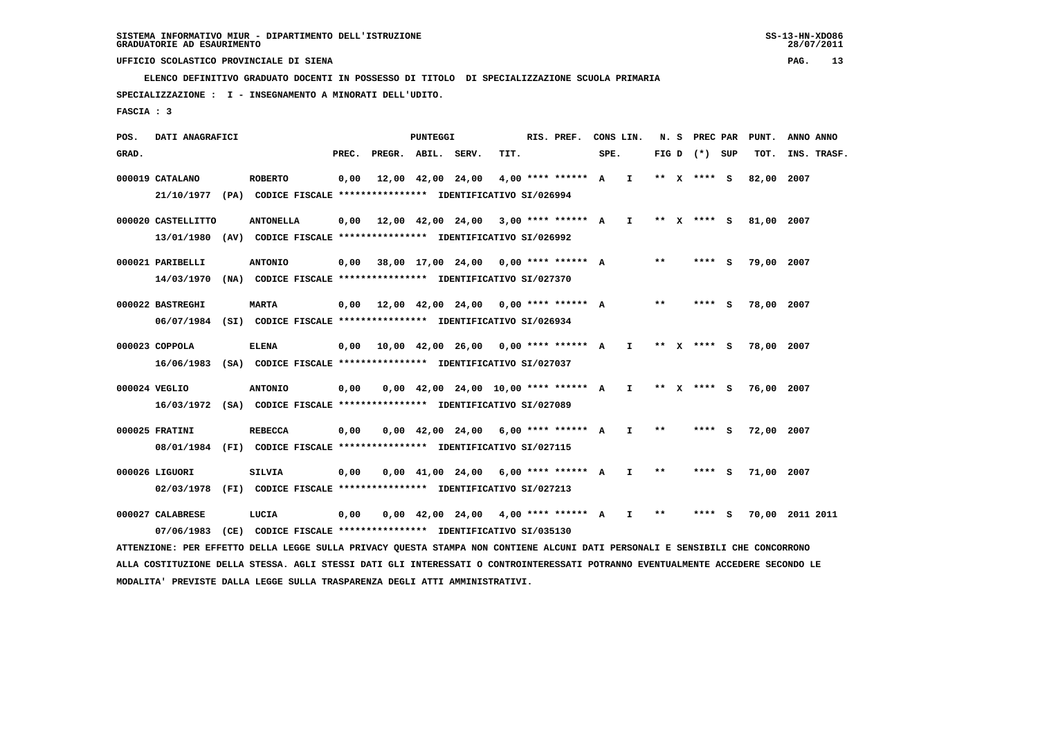**ELENCO DEFINITIVO GRADUATO DOCENTI IN POSSESSO DI TITOLO DI SPECIALIZZAZIONE SCUOLA PRIMARIA**

 **SPECIALIZZAZIONE : I - INSEGNAMENTO A MINORATI DELL'UDITO.**

 **FASCIA : 3**

 **POS. DATI ANAGRAFICI PUNTEGGI RIS. PREF. CONS LIN. N. S PREC PAR PUNT. ANNO ANNO**GRAD. **PREGRADE SERVEGR. ABIL. SERV. TIT.** SPE. FIG D (\*) SUP TOT. INS. TRASF.  **000019 CATALANO ROBERTO 0,00 12,00 42,00 24,00 4,00 \*\*\*\* \*\*\*\*\*\* A I \*\* X \*\*\*\* S 82,00 2007 21/10/1977 (PA) CODICE FISCALE \*\*\*\*\*\*\*\*\*\*\*\*\*\*\*\* IDENTIFICATIVO SI/026994 000020 CASTELLITTO ANTONELLA 0,00 12,00 42,00 24,00 3,00 \*\*\*\* \*\*\*\*\*\* A I \*\* X \*\*\*\* S 81,00 2007 13/01/1980 (AV) CODICE FISCALE \*\*\*\*\*\*\*\*\*\*\*\*\*\*\*\* IDENTIFICATIVO SI/026992 000021 PARIBELLI ANTONIO 0,00 38,00 17,00 24,00 0,00 \*\*\*\* \*\*\*\*\*\* A \*\* \*\*\*\* S 79,00 2007 14/03/1970 (NA) CODICE FISCALE \*\*\*\*\*\*\*\*\*\*\*\*\*\*\*\* IDENTIFICATIVO SI/027370 000022 BASTREGHI MARTA 0,00 12,00 42,00 24,00 0,00 \*\*\*\* \*\*\*\*\*\* A \*\* \*\*\*\* S 78,00 2007 06/07/1984 (SI) CODICE FISCALE \*\*\*\*\*\*\*\*\*\*\*\*\*\*\*\* IDENTIFICATIVO SI/026934**

- **000023 COPPOLA ELENA 0,00 10,00 42,00 26,00 0,00 \*\*\*\* \*\*\*\*\*\* A I \*\* X \*\*\*\* S 78,00 2007 16/06/1983 (SA) CODICE FISCALE \*\*\*\*\*\*\*\*\*\*\*\*\*\*\*\* IDENTIFICATIVO SI/027037**
- **000024 VEGLIO ANTONIO 0,00 0,00 42,00 24,00 10,00 \*\*\*\* \*\*\*\*\*\* A I \*\* X \*\*\*\* S 76,00 2007 16/03/1972 (SA) CODICE FISCALE \*\*\*\*\*\*\*\*\*\*\*\*\*\*\*\* IDENTIFICATIVO SI/027089**
- **000025 FRATINI REBECCA 0,00 0,00 42,00 24,00 6,00 \*\*\*\* \*\*\*\*\*\* A I \*\* \*\*\*\* S 72,00 2007 08/01/1984 (FI) CODICE FISCALE \*\*\*\*\*\*\*\*\*\*\*\*\*\*\*\* IDENTIFICATIVO SI/027115**
- **000026 LIGUORI SILVIA 0,00 0,00 41,00 24,00 6,00 \*\*\*\* \*\*\*\*\*\* A I \*\* \*\*\*\* S 71,00 2007 02/03/1978 (FI) CODICE FISCALE \*\*\*\*\*\*\*\*\*\*\*\*\*\*\*\* IDENTIFICATIVO SI/027213**

 **000027 CALABRESE LUCIA 0,00 0,00 42,00 24,00 4,00 \*\*\*\* \*\*\*\*\*\* A I \*\* \*\*\*\* S 70,00 2011 2011 07/06/1983 (CE) CODICE FISCALE \*\*\*\*\*\*\*\*\*\*\*\*\*\*\*\* IDENTIFICATIVO SI/035130 ATTENZIONE: PER EFFETTO DELLA LEGGE SULLA PRIVACY QUESTA STAMPA NON CONTIENE ALCUNI DATI PERSONALI E SENSIBILI CHE CONCORRONO ALLA COSTITUZIONE DELLA STESSA. AGLI STESSI DATI GLI INTERESSATI O CONTROINTERESSATI POTRANNO EVENTUALMENTE ACCEDERE SECONDO LE**

 **MODALITA' PREVISTE DALLA LEGGE SULLA TRASPARENZA DEGLI ATTI AMMINISTRATIVI.**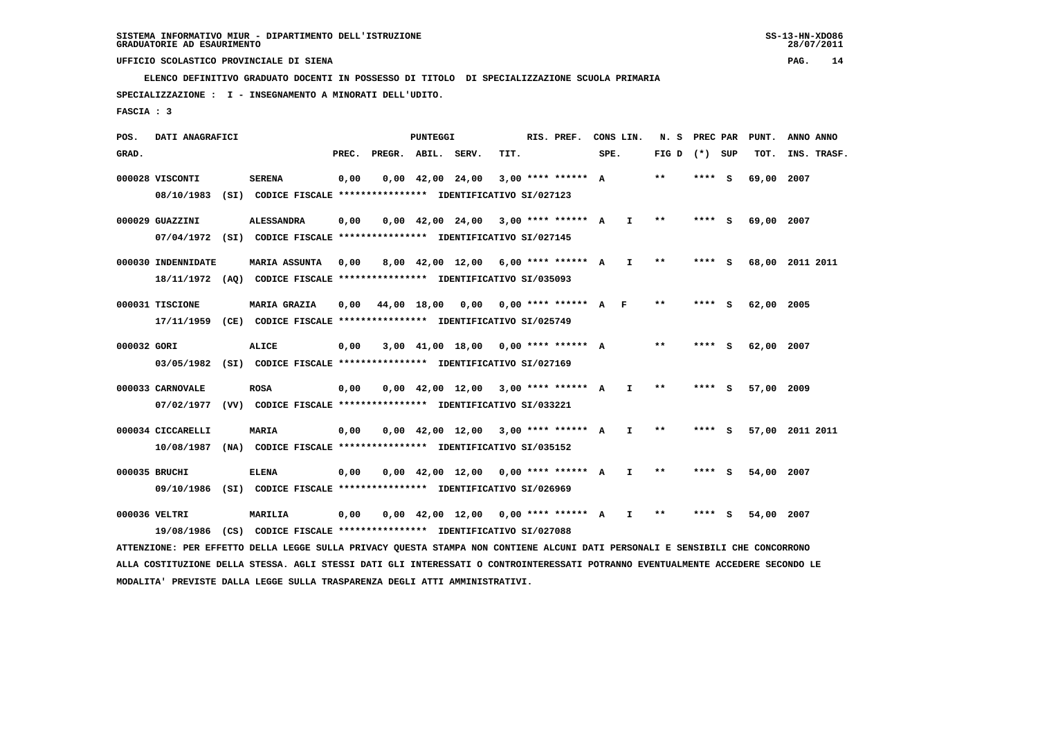**ELENCO DEFINITIVO GRADUATO DOCENTI IN POSSESSO DI TITOLO DI SPECIALIZZAZIONE SCUOLA PRIMARIA**

 **SPECIALIZZAZIONE : I - INSEGNAMENTO A MINORATI DELL'UDITO.**

 **FASCIA : 3**

 **POS. DATI ANAGRAFICI PUNTEGGI RIS. PREF. CONS LIN. N. S PREC PAR PUNT. ANNO ANNO**GRAD. **PREGRADE SERVEGE SERVE SERVE SPEREGE SPEREGALES SPEREGALES SPEREGALES SPEREGALES SPEREGALES SUP TOT. INS. TRASF. 000028 VISCONTI SERENA 0,00 0,00 42,00 24,00 3,00 \*\*\*\* \*\*\*\*\*\* A \*\* \*\*\*\* S 69,00 2007 08/10/1983 (SI) CODICE FISCALE \*\*\*\*\*\*\*\*\*\*\*\*\*\*\*\* IDENTIFICATIVO SI/027123 000029 GUAZZINI ALESSANDRA 0,00 0,00 42,00 24,00 3,00 \*\*\*\* \*\*\*\*\*\* A I \*\* \*\*\*\* S 69,00 2007 07/04/1972 (SI) CODICE FISCALE \*\*\*\*\*\*\*\*\*\*\*\*\*\*\*\* IDENTIFICATIVO SI/027145 000030 INDENNIDATE MARIA ASSUNTA 0,00 8,00 42,00 12,00 6,00 \*\*\*\* \*\*\*\*\*\* A I \*\* \*\*\*\* S 68,00 2011 2011 18/11/1972 (AQ) CODICE FISCALE \*\*\*\*\*\*\*\*\*\*\*\*\*\*\*\* IDENTIFICATIVO SI/035093 000031 TISCIONE MARIA GRAZIA 0,00 44,00 18,00 0,00 0,00 \*\*\*\* \*\*\*\*\*\* A F \*\* \*\*\*\* S 62,00 2005 17/11/1959 (CE) CODICE FISCALE \*\*\*\*\*\*\*\*\*\*\*\*\*\*\*\* IDENTIFICATIVO SI/025749 000032 GORI ALICE 0,00 3,00 41,00 18,00 0,00 \*\*\*\* \*\*\*\*\*\* A \*\* \*\*\*\* S 62,00 2007 03/05/1982 (SI) CODICE FISCALE \*\*\*\*\*\*\*\*\*\*\*\*\*\*\*\* IDENTIFICATIVO SI/027169 000033 CARNOVALE ROSA 0,00 0,00 42,00 12,00 3,00 \*\*\*\* \*\*\*\*\*\* A I \*\* \*\*\*\* S 57,00 2009 07/02/1977 (VV) CODICE FISCALE \*\*\*\*\*\*\*\*\*\*\*\*\*\*\*\* IDENTIFICATIVO SI/033221**

 **000034 CICCARELLI MARIA 0,00 0,00 42,00 12,00 3,00 \*\*\*\* \*\*\*\*\*\* A I \*\* \*\*\*\* S 57,00 2011 2011 10/08/1987 (NA) CODICE FISCALE \*\*\*\*\*\*\*\*\*\*\*\*\*\*\*\* IDENTIFICATIVO SI/035152**

 **000035 BRUCHI ELENA 0,00 0,00 42,00 12,00 0,00 \*\*\*\* \*\*\*\*\*\* A I \*\* \*\*\*\* S 54,00 2007 09/10/1986 (SI) CODICE FISCALE \*\*\*\*\*\*\*\*\*\*\*\*\*\*\*\* IDENTIFICATIVO SI/026969**

 **000036 VELTRI MARILIA 0,00 0,00 42,00 12,00 0,00 \*\*\*\* \*\*\*\*\*\* A I \*\* \*\*\*\* S 54,00 2007 19/08/1986 (CS) CODICE FISCALE \*\*\*\*\*\*\*\*\*\*\*\*\*\*\*\* IDENTIFICATIVO SI/027088**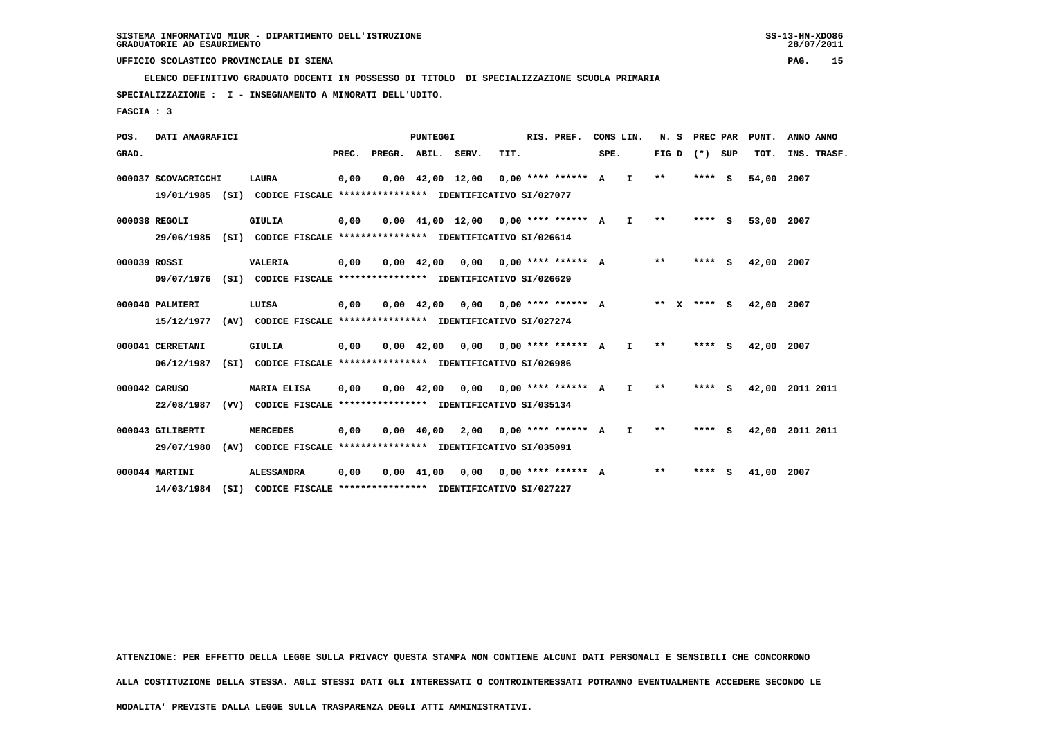**ELENCO DEFINITIVO GRADUATO DOCENTI IN POSSESSO DI TITOLO DI SPECIALIZZAZIONE SCUOLA PRIMARIA**

 **SPECIALIZZAZIONE : I - INSEGNAMENTO A MINORATI DELL'UDITO.**

 **FASCIA : 3**

 **POS. DATI ANAGRAFICI PUNTEGGI RIS. PREF. CONS LIN. N. S PREC PAR PUNT. ANNO ANNO**GRAD. **BRAD. PREC. PREGR. ABIL. SERV. TIT.** SPE. FIG D (\*) SUP TOT. INS. TRASF.  **000037 SCOVACRICCHI LAURA 0,00 0,00 42,00 12,00 0,00 \*\*\*\* \*\*\*\*\*\* A I \*\* \*\*\*\* S 54,00 2007 19/01/1985 (SI) CODICE FISCALE \*\*\*\*\*\*\*\*\*\*\*\*\*\*\*\* IDENTIFICATIVO SI/027077 000038 REGOLI GIULIA 0,00 0,00 41,00 12,00 0,00 \*\*\*\* \*\*\*\*\*\* A I \*\* \*\*\*\* S 53,00 2007 29/06/1985 (SI) CODICE FISCALE \*\*\*\*\*\*\*\*\*\*\*\*\*\*\*\* IDENTIFICATIVO SI/026614 000039 ROSSI VALERIA 0,00 0,00 42,00 0,00 0,00 \*\*\*\* \*\*\*\*\*\* A \*\* \*\*\*\* S 42,00 2007 09/07/1976 (SI) CODICE FISCALE \*\*\*\*\*\*\*\*\*\*\*\*\*\*\*\* IDENTIFICATIVO SI/026629 000040 PALMIERI LUISA 0,00 0,00 42,00 0,00 0,00 \*\*\*\* \*\*\*\*\*\* A \*\* X \*\*\*\* S 42,00 2007 15/12/1977 (AV) CODICE FISCALE \*\*\*\*\*\*\*\*\*\*\*\*\*\*\*\* IDENTIFICATIVO SI/027274 000041 CERRETANI GIULIA 0,00 0,00 42,00 0,00 0,00 \*\*\*\* \*\*\*\*\*\* A I \*\* \*\*\*\* S 42,00 2007 06/12/1987 (SI) CODICE FISCALE \*\*\*\*\*\*\*\*\*\*\*\*\*\*\*\* IDENTIFICATIVO SI/026986 000042 CARUSO MARIA ELISA 0,00 0,00 42,00 0,00 0,00 \*\*\*\* \*\*\*\*\*\* A I \*\* \*\*\*\* S 42,00 2011 2011 22/08/1987 (VV) CODICE FISCALE \*\*\*\*\*\*\*\*\*\*\*\*\*\*\*\* IDENTIFICATIVO SI/035134 000043 GILIBERTI MERCEDES 0,00 0,00 40,00 2,00 0,00 \*\*\*\* \*\*\*\*\*\* A I \*\* \*\*\*\* S 42,00 2011 2011 29/07/1980 (AV) CODICE FISCALE \*\*\*\*\*\*\*\*\*\*\*\*\*\*\*\* IDENTIFICATIVO SI/035091 000044 MARTINI ALESSANDRA 0,00 0,00 41,00 0,00 0,00 \*\*\*\* \*\*\*\*\*\* A \*\* \*\*\*\* S 41,00 2007 14/03/1984 (SI) CODICE FISCALE \*\*\*\*\*\*\*\*\*\*\*\*\*\*\*\* IDENTIFICATIVO SI/027227**

 **ATTENZIONE: PER EFFETTO DELLA LEGGE SULLA PRIVACY QUESTA STAMPA NON CONTIENE ALCUNI DATI PERSONALI E SENSIBILI CHE CONCORRONO**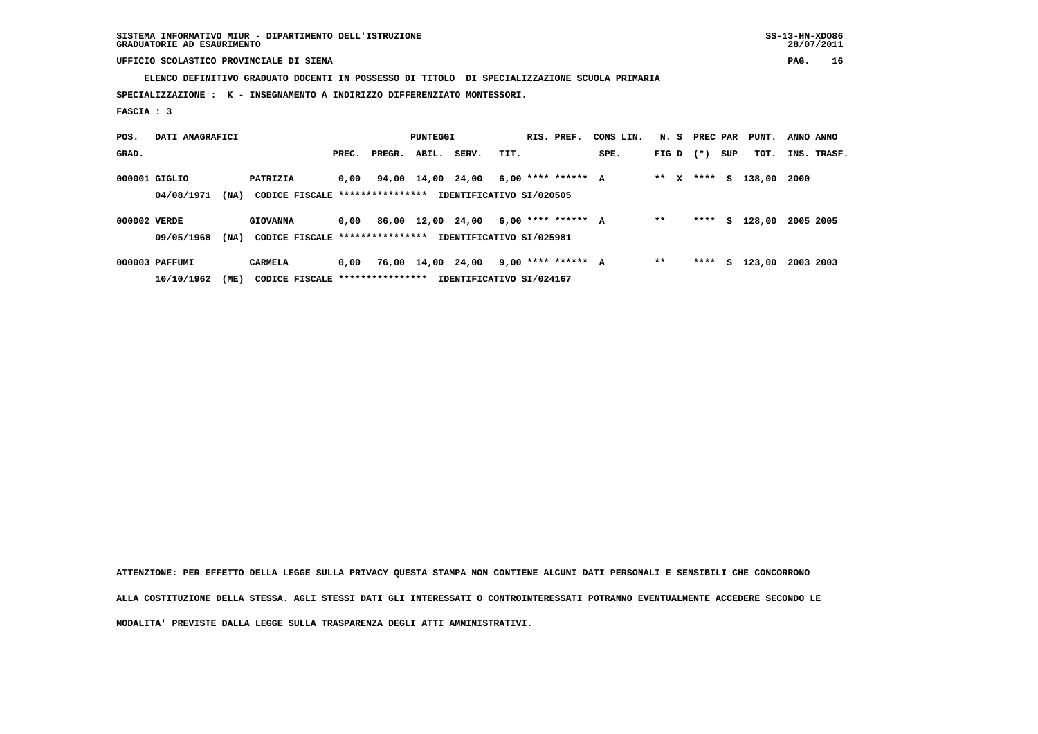**ELENCO DEFINITIVO GRADUATO DOCENTI IN POSSESSO DI TITOLO DI SPECIALIZZAZIONE SCUOLA PRIMARIA**

 **SPECIALIZZAZIONE : K - INSEGNAMENTO A INDIRIZZO DIFFERENZIATO MONTESSORI.**

 **FASCIA : 3**

| POS.         | DATI ANAGRAFICI                                                                   |      |                                  |       | PUNTEGGI |                   |                          |      |  | RIS. PREF.           | CONS LIN. |         |  | N. S PREC PAR |     | PUNT.  | ANNO ANNO   |  |
|--------------|-----------------------------------------------------------------------------------|------|----------------------------------|-------|----------|-------------------|--------------------------|------|--|----------------------|-----------|---------|--|---------------|-----|--------|-------------|--|
| GRAD.        |                                                                                   |      |                                  | PREC. | PREGR.   | ABIL.             | SERV.                    | TIT. |  |                      | SPE.      | FIG D   |  | $(*)$         | SUP | TOT.   | INS. TRASF. |  |
|              | 000001 GIGLIO                                                                     |      | PATRIZIA                         | 0,00  |          | 94,00 14,00 24,00 |                          |      |  | $6,00$ **** ****** A |           | $***$ X |  | ****          | S.  | 138,00 | 2000        |  |
|              | CODICE FISCALE ****************<br>IDENTIFICATIVO SI/020505<br>(NA)<br>04/08/1971 |      |                                  |       |          |                   |                          |      |  |                      |           |         |  |               |     |        |             |  |
| 000002 VERDE |                                                                                   |      | <b>GIOVANNA</b>                  | 0,00  |          | 86,00 12,00 24,00 |                          |      |  | $6,00$ **** ****** A |           | $* *$   |  | ****          | s   | 128,00 | 2005 2005   |  |
|              | 09/05/1968                                                                        | (MA) | CODICE FISCALE ****************  |       |          |                   | IDENTIFICATIVO SI/025981 |      |  |                      |           |         |  |               |     |        |             |  |
|              | 000003 PAFFUMI                                                                    |      | CARMELA                          | 0,00  |          | 76,00 14,00 24,00 |                          |      |  | 9,00 **** ****** A   |           | $* *$   |  | ****          | s   | 123,00 | 2003 2003   |  |
|              | 10/10/1962                                                                        | (ME) | CODICE FISCALE ***************** |       |          |                   | IDENTIFICATIVO SI/024167 |      |  |                      |           |         |  |               |     |        |             |  |